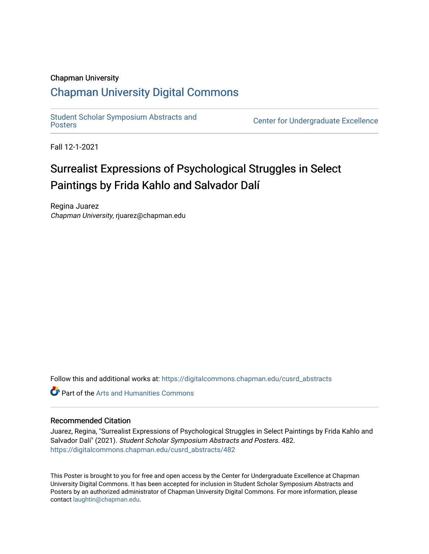## Chapman University

## [Chapman University Digital Commons](https://digitalcommons.chapman.edu/)

[Student Scholar Symposium Abstracts and](https://digitalcommons.chapman.edu/cusrd_abstracts) 

Center for Undergraduate Excellence

Fall 12-1-2021

## Surrealist Expressions of Psychological Struggles in Select Paintings by Frida Kahlo and Salvador Dalí

Regina Juarez Chapman University, rjuarez@chapman.edu

Follow this and additional works at: [https://digitalcommons.chapman.edu/cusrd\\_abstracts](https://digitalcommons.chapman.edu/cusrd_abstracts?utm_source=digitalcommons.chapman.edu%2Fcusrd_abstracts%2F482&utm_medium=PDF&utm_campaign=PDFCoverPages) 

**C** Part of the Arts and Humanities Commons

## Recommended Citation

Juarez, Regina, "Surrealist Expressions of Psychological Struggles in Select Paintings by Frida Kahlo and Salvador Dalí" (2021). Student Scholar Symposium Abstracts and Posters. 482. [https://digitalcommons.chapman.edu/cusrd\\_abstracts/482](https://digitalcommons.chapman.edu/cusrd_abstracts/482?utm_source=digitalcommons.chapman.edu%2Fcusrd_abstracts%2F482&utm_medium=PDF&utm_campaign=PDFCoverPages) 

This Poster is brought to you for free and open access by the Center for Undergraduate Excellence at Chapman University Digital Commons. It has been accepted for inclusion in Student Scholar Symposium Abstracts and Posters by an authorized administrator of Chapman University Digital Commons. For more information, please contact [laughtin@chapman.edu](mailto:laughtin@chapman.edu).